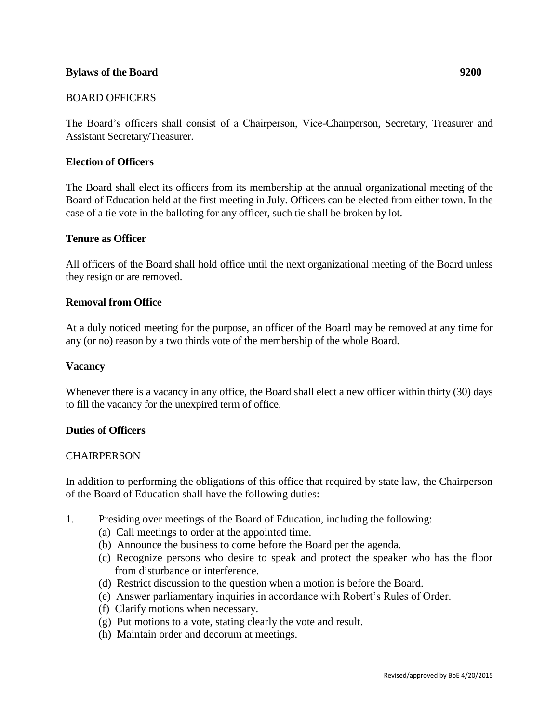### **Bylaws of the Board 9200**

### BOARD OFFICERS

The Board's officers shall consist of a Chairperson, Vice-Chairperson, Secretary, Treasurer and Assistant Secretary/Treasurer.

#### **Election of Officers**

The Board shall elect its officers from its membership at the annual organizational meeting of the Board of Education held at the first meeting in July. Officers can be elected from either town. In the case of a tie vote in the balloting for any officer, such tie shall be broken by lot.

#### **Tenure as Officer**

All officers of the Board shall hold office until the next organizational meeting of the Board unless they resign or are removed.

#### **Removal from Office**

At a duly noticed meeting for the purpose, an officer of the Board may be removed at any time for any (or no) reason by a two thirds vote of the membership of the whole Board.

#### **Vacancy**

Whenever there is a vacancy in any office, the Board shall elect a new officer within thirty (30) days to fill the vacancy for the unexpired term of office.

#### **Duties of Officers**

#### **CHAIRPERSON**

In addition to performing the obligations of this office that required by state law, the Chairperson of the Board of Education shall have the following duties:

- 1. Presiding over meetings of the Board of Education, including the following:
	- (a) Call meetings to order at the appointed time.
	- (b) Announce the business to come before the Board per the agenda.
	- (c) Recognize persons who desire to speak and protect the speaker who has the floor from disturbance or interference.
	- (d) Restrict discussion to the question when a motion is before the Board.
	- (e) Answer parliamentary inquiries in accordance with Robert's Rules of Order.
	- (f) Clarify motions when necessary.
	- (g) Put motions to a vote, stating clearly the vote and result.
	- (h) Maintain order and decorum at meetings.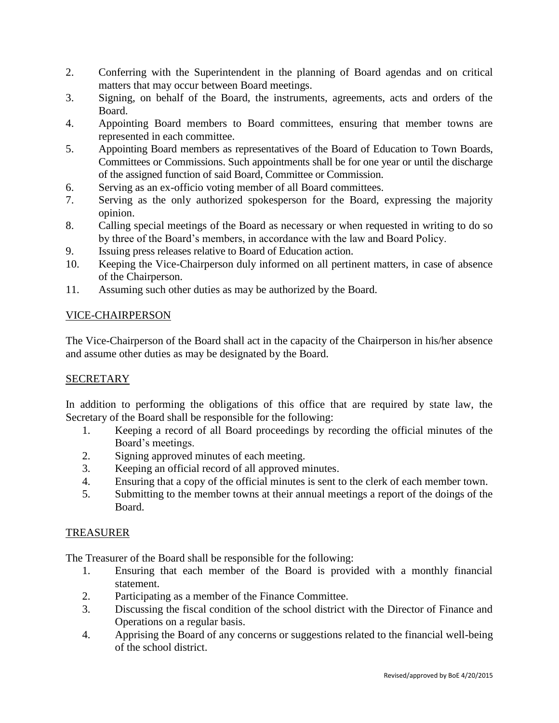- 2. Conferring with the Superintendent in the planning of Board agendas and on critical matters that may occur between Board meetings.
- 3. Signing, on behalf of the Board, the instruments, agreements, acts and orders of the Board.
- 4. Appointing Board members to Board committees, ensuring that member towns are represented in each committee.
- 5. Appointing Board members as representatives of the Board of Education to Town Boards, Committees or Commissions. Such appointments shall be for one year or until the discharge of the assigned function of said Board, Committee or Commission.
- 6. Serving as an ex-officio voting member of all Board committees.
- 7. Serving as the only authorized spokesperson for the Board, expressing the majority opinion.
- 8. Calling special meetings of the Board as necessary or when requested in writing to do so by three of the Board's members, in accordance with the law and Board Policy.
- 9. Issuing press releases relative to Board of Education action.
- 10. Keeping the Vice-Chairperson duly informed on all pertinent matters, in case of absence of the Chairperson.
- 11. Assuming such other duties as may be authorized by the Board.

# VICE-CHAIRPERSON

The Vice-Chairperson of the Board shall act in the capacity of the Chairperson in his/her absence and assume other duties as may be designated by the Board.

## **SECRETARY**

In addition to performing the obligations of this office that are required by state law, the Secretary of the Board shall be responsible for the following:

- 1. Keeping a record of all Board proceedings by recording the official minutes of the Board's meetings.
- 2. Signing approved minutes of each meeting.
- 3. Keeping an official record of all approved minutes.
- 4. Ensuring that a copy of the official minutes is sent to the clerk of each member town.
- 5. Submitting to the member towns at their annual meetings a report of the doings of the Board.

## TREASURER

The Treasurer of the Board shall be responsible for the following:

- 1. Ensuring that each member of the Board is provided with a monthly financial statement.
- 2. Participating as a member of the Finance Committee.
- 3. Discussing the fiscal condition of the school district with the Director of Finance and Operations on a regular basis.
- 4. Apprising the Board of any concerns or suggestions related to the financial well-being of the school district.